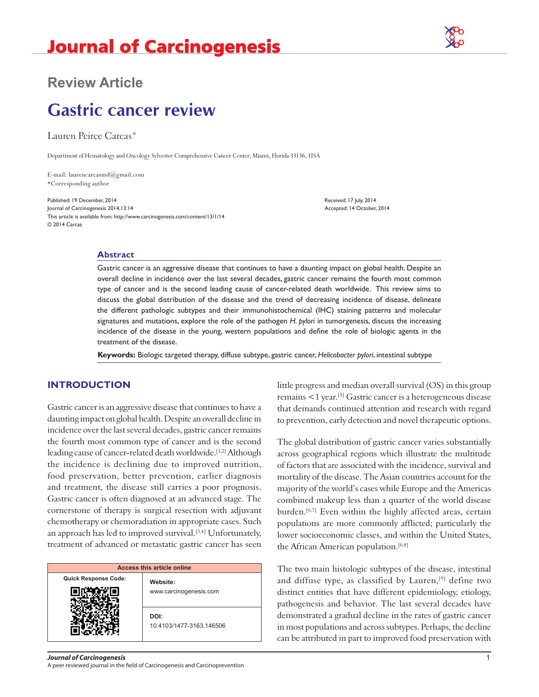

# **Review Article**

# **Gastric cancer review**

Lauren Peirce Carcas\*

Department of Hematology and Oncology Sylvester Comprehensive Cancer Center, Miami, Florida 33136, USA

E-mail: laurencarcasmd@gmail.com \*Corresponding author

Published: 19 December, 2014 Received: 17 July, 2014 Journal of Carcinogenesis 2014,13:14 **Accepted: 14 October, 2014** Accepted: 14 October, 2014 This article is available from: http://www.carcinogenesis.com/content/13/1/14 © 2014 Carcas

#### **Abstract**

Gastric cancer is an aggressive disease that continues to have a daunting impact on global health. Despite an overall decline in incidence over the last several decades, gastric cancer remains the fourth most common type of cancer and is the second leading cause of cancer-related death worldwide. This review aims to discuss the global distribution of the disease and the trend of decreasing incidence of disease, delineate the different pathologic subtypes and their immunohistochemical (IHC) staining patterns and molecular signatures and mutations, explore the role of the pathogen *H. pylori* in tumorgenesis, discuss the increasing incidence of the disease in the young, western populations and define the role of biologic agents in the treatment of the disease.

**Keywords:** Biologic targeted therapy, diffuse subtype, gastric cancer, *Helicobacter pylori*, intestinal subtype

#### **INTRODUCTION**

Gastric cancer is an aggressive disease that continues to have a daunting impact on global health. Despite an overall decline in incidence over the last several decades, gastric cancer remains the fourth most common type of cancer and is the second leading cause of cancer-related death worldwide.<sup>[1,2]</sup> Although the incidence is declining due to improved nutrition, food preservation, better prevention, earlier diagnosis and treatment, the disease still carries a poor prognosis. Gastric cancer is often diagnosed at an advanced stage. The cornerstone of therapy is surgical resection with adjuvant chemotherapy or chemoradiation in appropriate cases. Such an approach has led to improved survival.<sup>[3,4]</sup> Unfortunately, treatment of advanced or metastatic gastric cancer has seen

| <b>Access this article online</b> |                                    |
|-----------------------------------|------------------------------------|
| <b>Quick Response Code:</b>       | Website:<br>www.carcinogenesis.com |
|                                   | DOI:<br>10.4103/1477-3163.146506   |

little progress and median overall survival (OS) in this group remains <1 year.[5] Gastric cancer is a heterogeneous disease that demands continued attention and research with regard to prevention, early detection and novel therapeutic options.

The global distribution of gastric cancer varies substantially across geographical regions which illustrate the multitude of factors that are associated with the incidence, survival and mortality of the disease. The Asian countries account for the majority of the world's cases while Europe and the Americas combined makeup less than a quarter of the world disease burden.<sup>[6,7]</sup> Even within the highly affected areas, certain populations are more commonly afflicted; particularly the lower socioeconomic classes, and within the United States, the African American population.<sup>[6,8]</sup>

The two main histologic subtypes of the disease, intestinal and diffuse type, as classified by Lauren,<sup>[9]</sup> define two distinct entities that have different epidemiology, etiology, pathogenesis and behavior. The last several decades have demonstrated a gradual decline in the rates of gastric cancer in most populations and across subtypes. Perhaps, the decline can be attributed in part to improved food preservation with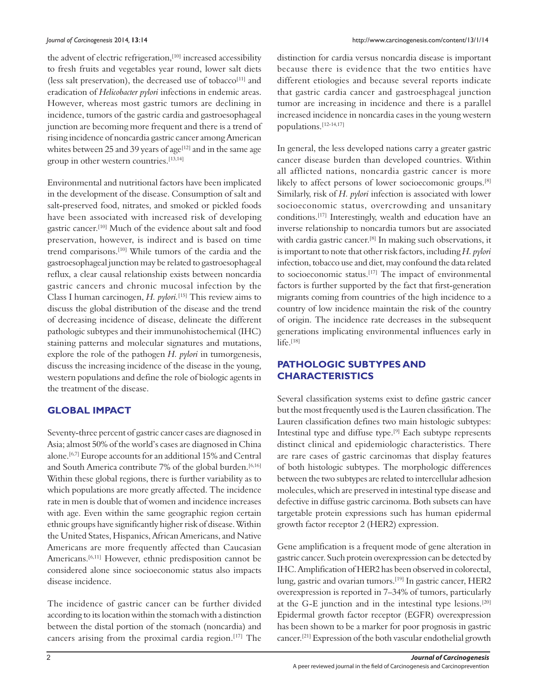the advent of electric refrigeration,<sup>[10]</sup> increased accessibility to fresh fruits and vegetables year round, lower salt diets (less salt preservation), the decreased use of tobacco<sup>[11]</sup> and eradication of *Helicobacter pylori* infections in endemic areas. However, whereas most gastric tumors are declining in incidence, tumors of the gastric cardia and gastroesophageal junction are becoming more frequent and there is a trend of rising incidence of noncardia gastric cancer among American whites between 25 and 39 years of age<sup>[12]</sup> and in the same age group in other western countries.[13,14]

Environmental and nutritional factors have been implicated in the development of the disease. Consumption of salt and salt-preserved food, nitrates, and smoked or pickled foods have been associated with increased risk of developing gastric cancer.[10] Much of the evidence about salt and food preservation, however, is indirect and is based on time trend comparisons.[10] While tumors of the cardia and the gastroesophageal junction may be related to gastroesophageal reflux, a clear causal relationship exists between noncardia gastric cancers and chronic mucosal infection by the Class I human carcinogen, *H. pylori.*[15] This review aims to discuss the global distribution of the disease and the trend of decreasing incidence of disease, delineate the different pathologic subtypes and their immunohistochemical (IHC) staining patterns and molecular signatures and mutations, explore the role of the pathogen *H. pylori* in tumorgenesis, discuss the increasing incidence of the disease in the young, western populations and define the role of biologic agents in the treatment of the disease.

## **GLOBAL IMPACT**

Seventy-three percent of gastric cancer cases are diagnosed in Asia; almost 50% of the world's cases are diagnosed in China alone.[6,7] Europe accounts for an additional 15% and Central and South America contribute 7% of the global burden.<sup>[6,16]</sup> Within these global regions, there is further variability as to which populations are more greatly affected. The incidence rate in men is double that of women and incidence increases with age. Even within the same geographic region certain ethnic groups have significantly higher risk of disease. Within the United States, Hispanics, African Americans, and Native Americans are more frequently affected than Caucasian Americans.<sup>[6,11]</sup> However, ethnic predisposition cannot be considered alone since socioeconomic status also impacts disease incidence.

The incidence of gastric cancer can be further divided according to its location within the stomach with a distinction between the distal portion of the stomach (noncardia) and cancers arising from the proximal cardia region.[17] The distinction for cardia versus noncardia disease is important because there is evidence that the two entities have different etiologies and because several reports indicate that gastric cardia cancer and gastroesphageal junction tumor are increasing in incidence and there is a parallel increased incidence in noncardia cases in the young western populations.[12‑14,17]

In general, the less developed nations carry a greater gastric cancer disease burden than developed countries. Within all afflicted nations, noncardia gastric cancer is more likely to affect persons of lower socioecomonic groups.<sup>[8]</sup> Similarly, risk of *H. pylori* infection is associated with lower socioeconomic status, overcrowding and unsanitary conditions.[17] Interestingly, wealth and education have an inverse relationship to noncardia tumors but are associated with cardia gastric cancer.<sup>[8]</sup> In making such observations, it is important to note that other risk factors, including *H. pylori* infection, tobacco use and diet, may confound the data related to socioeconomic status.[17] The impact of environmental factors is further supported by the fact that first-generation migrants coming from countries of the high incidence to a country of low incidence maintain the risk of the country of origin. The incidence rate decreases in the subsequent generations implicating environmental influences early in  $l$ ife.<sup>[18]</sup>

# **PATHOLOGIC SUBTYPES AND CHARACTERISTICS**

Several classification systems exist to define gastric cancer but the most frequently used is the Lauren classification. The Lauren classification defines two main histologic subtypes: Intestinal type and diffuse type.[9] Each subtype represents distinct clinical and epidemiologic characteristics. There are rare cases of gastric carcinomas that display features of both histologic subtypes. The morphologic differences between the two subtypes are related to intercellular adhesion molecules, which are preserved in intestinal type disease and defective in diffuse gastric carcinoma. Both subsets can have targetable protein expressions such has human epidermal growth factor receptor 2 (HER2) expression.

Gene amplification is a frequent mode of gene alteration in gastric cancer. Such protein overexpression can be detected by IHC. Amplification of HER2 has been observed in colorectal, lung, gastric and ovarian tumors.<sup>[19]</sup> In gastric cancer, HER2 overexpression is reported in 7–34% of tumors, particularly at the G-E junction and in the intestinal type lesions.<sup>[20]</sup> Epidermal growth factor receptor (EGFR) overexpression has been shown to be a marker for poor prognosis in gastric cancer.[21] Expression of the both vascular endothelial growth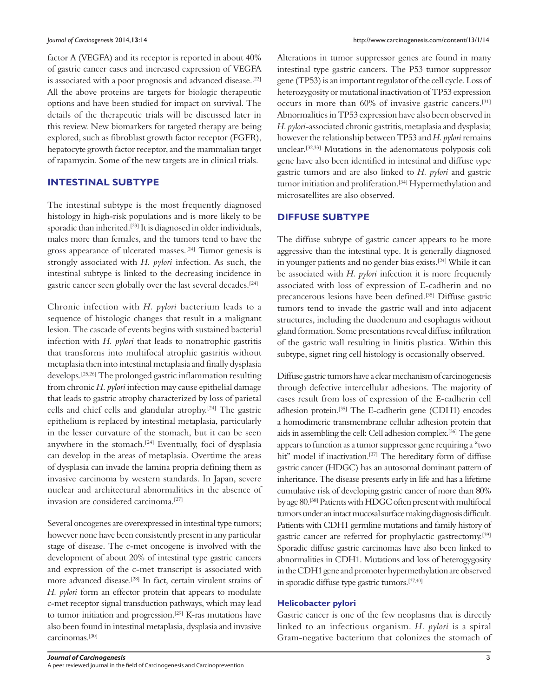factor A (VEGFA) and its receptor is reported in about 40% of gastric cancer cases and increased expression of VEGFA is associated with a poor prognosis and advanced disease.<sup>[22]</sup> All the above proteins are targets for biologic therapeutic options and have been studied for impact on survival. The details of the therapeutic trials will be discussed later in this review. New biomarkers for targeted therapy are being explored, such as fibroblast growth factor receptor (FGFR), hepatocyte growth factor receptor, and the mammalian target of rapamycin. Some of the new targets are in clinical trials.

#### **INTESTINAL SUBTYPE**

The intestinal subtype is the most frequently diagnosed histology in high-risk populations and is more likely to be sporadic than inherited.<sup>[23]</sup> It is diagnosed in older individuals, males more than females, and the tumors tend to have the gross appearance of ulcerated masses.[24] Tumor genesis is strongly associated with *H. pylori* infection. As such, the intestinal subtype is linked to the decreasing incidence in gastric cancer seen globally over the last several decades.[24]

Chronic infection with *H. pylori* bacterium leads to a sequence of histologic changes that result in a malignant lesion. The cascade of events begins with sustained bacterial infection with *H. pylori* that leads to nonatrophic gastritis that transforms into multifocal atrophic gastritis without metaplasia then into intestinal metaplasia and finally dysplasia develops.[25,26] The prolonged gastric inflammation resulting from chronic *H. pylori* infection may cause epithelial damage that leads to gastric atrophy characterized by loss of parietal cells and chief cells and glandular atrophy.[24] The gastric epithelium is replaced by intestinal metaplasia, particularly in the lesser curvature of the stomach, but it can be seen anywhere in the stomach.<sup>[24]</sup> Eventually, foci of dysplasia can develop in the areas of metaplasia. Overtime the areas of dysplasia can invade the lamina propria defining them as invasive carcinoma by western standards. In Japan, severe nuclear and architectural abnormalities in the absence of invasion are considered carcinoma.[27]

Several oncogenes are overexpressed in intestinal type tumors; however none have been consistently present in any particular stage of disease. The c‑met oncogene is involved with the development of about 20% of intestinal type gastric cancers and expression of the c-met transcript is associated with more advanced disease.[28] In fact, certain virulent strains of *H. pylori* form an effector protein that appears to modulate c‑met receptor signal transduction pathways, which may lead to tumor initiation and progression.<sup>[29]</sup> K-ras mutations have also been found in intestinal metaplasia, dysplasia and invasive carcinomas.[30]

Alterations in tumor suppressor genes are found in many intestinal type gastric cancers. The P53 tumor suppressor gene (TP53) is an important regulator of the cell cycle. Loss of heterozygosity or mutational inactivation of TP53 expression occurs in more than 60% of invasive gastric cancers.[31] Abnormalities in TP53 expression have also been observed in *H. pylori*‑associated chronic gastritis, metaplasia and dysplasia; however the relationship between TP53 and *H. pylori* remains unclear.[32,33] Mutations in the adenomatous polyposis coli gene have also been identified in intestinal and diffuse type gastric tumors and are also linked to *H. pylori* and gastric tumor initiation and proliferation.<sup>[34]</sup> Hypermethylation and microsatellites are also observed.

#### **DIFFUSE SUBTYPE**

The diffuse subtype of gastric cancer appears to be more aggressive than the intestinal type. It is generally diagnosed in younger patients and no gender bias exists.[24] While it can be associated with *H. pylori* infection it is more frequently associated with loss of expression of E-cadherin and no precancerous lesions have been defined.[35] Diffuse gastric tumors tend to invade the gastric wall and into adjacent structures, including the duodenum and esophagus without gland formation. Some presentations reveal diffuse infiltration of the gastric wall resulting in linitis plastica. Within this subtype, signet ring cell histology is occasionally observed.

Diffuse gastric tumors have a clear mechanism of carcinogenesis through defective intercellular adhesions. The majority of cases result from loss of expression of the E‑cadherin cell adhesion protein.<sup>[35]</sup> The E-cadherin gene (CDH1) encodes a homodimeric transmembrane cellular adhesion protein that aids in assembling the cell: Cell adhesion complex.[36] The gene appears to function as a tumor suppressor gene requiring a "two hit" model if inactivation.<sup>[37]</sup> The hereditary form of diffuse gastric cancer (HDGC) has an autosomal dominant pattern of inheritance. The disease presents early in life and has a lifetime cumulative risk of developing gastric cancer of more than 80% by age 80.[38] Patients with HDGC often present with multifocal tumors under an intact mucosal surface making diagnosis difficult. Patients with CDH1 germline mutations and family history of gastric cancer are referred for prophylactic gastrectomy.[39] Sporadic diffuse gastric carcinomas have also been linked to abnormalities in CDH1. Mutations and loss of heterogygosity in the CDH1 gene and promoter hypermethylation are observed in sporadic diffuse type gastric tumors.[37,40]

#### **Helicobacter pylori**

Gastric cancer is one of the few neoplasms that is directly linked to an infectious organism. *H. pylori* is a spiral Gram‑negative bacterium that colonizes the stomach of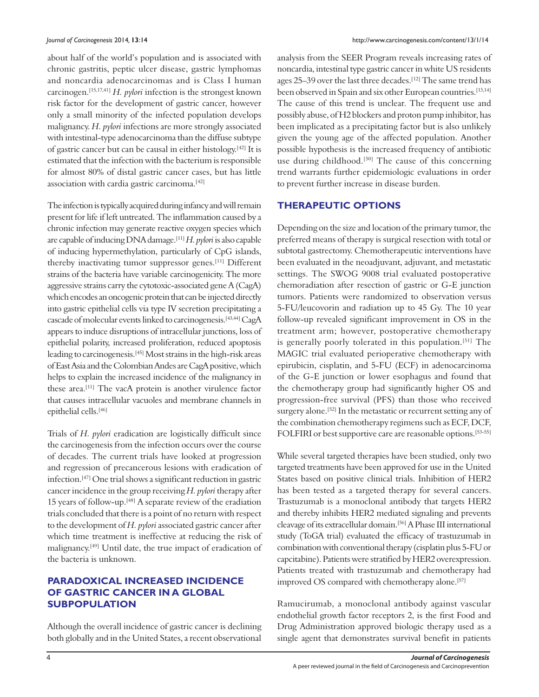about half of the world's population and is associated with chronic gastritis, peptic ulcer disease, gastric lymphomas and noncardia adenocarcinomas and is Class I human carcinogen.[15,17,41] *H. pylori* infection is the strongest known risk factor for the development of gastric cancer, however only a small minority of the infected population develops malignancy. *H. pylori* infections are more strongly associated with intestinal-type adenocarcinoma than the diffuse subtype of gastric cancer but can be causal in either histology.[42] It is estimated that the infection with the bacterium is responsible for almost 80% of distal gastric cancer cases, but has little association with cardia gastric carcinoma.[42]

The infection is typically acquired during infancy and will remain present for life if left untreated. The inflammation caused by a chronic infection may generate reactive oxygen species which are capable of inducing DNA damage.[11] *H. pylori* is also capable of inducing hypermethylation, particularly of CpG islands, thereby inactivating tumor suppressor genes.[11] Different strains of the bacteria have variable carcinogenicity. The more aggressive strains carry the cytotoxic‑associated gene A (CagA) which encodes an oncogenic protein that can be injected directly into gastric epithelial cells via type IV secretion precipitating a cascade of molecular events linked to carcinogenesis.[43,44] CagA appears to induce disruptions of intracellular junctions, loss of epithelial polarity, increased proliferation, reduced apoptosis leading to carcinogenesis.<sup>[45]</sup> Most strains in the high-risk areas of East Asia and the Colombian Andes are CagA positive, which helps to explain the increased incidence of the malignancy in these area.[11] The vacA protein is another virulence factor that causes intracellular vacuoles and membrane channels in epithelial cells.[46]

Trials of *H. pylori* eradication are logistically difficult since the carcinogenesis from the infection occurs over the course of decades. The current trials have looked at progression and regression of precancerous lesions with eradication of infection.[47] One trial shows a significant reduction in gastric cancer incidence in the group receiving *H. pylori* therapy after 15 years of follow‑up.[48] A separate review of the eradiation trials concluded that there is a point of no return with respect to the development of *H. pylori* associated gastric cancer after which time treatment is ineffective at reducing the risk of malignancy.[49] Until date, the true impact of eradication of the bacteria is unknown.

# **PARADOXICAL INCREASED INCIDENCE OF GASTRIC CANCER IN A GLOBAL SUBPOPULATION**

Although the overall incidence of gastric cancer is declining both globally and in the United States, a recent observational analysis from the SEER Program reveals increasing rates of noncardia, intestinal type gastric cancer in white US residents ages 25-39 over the last three decades.<sup>[12]</sup> The same trend has been observed in Spain and six other European countries.<sup>[13,14]</sup> The cause of this trend is unclear. The frequent use and possibly abuse, of H2 blockers and proton pump inhibitor, has been implicated as a precipitating factor but is also unlikely given the young age of the affected population. Another possible hypothesis is the increased frequency of antibiotic use during childhood.<sup>[50]</sup> The cause of this concerning trend warrants further epidemiologic evaluations in order to prevent further increase in disease burden.

## **THERAPEUTIC OPTIONS**

Depending on the size and location of the primary tumor, the preferred means of therapy is surgical resection with total or subtotal gastrectomy. Chemotherapeutic interventions have been evaluated in the neoadjuvant, adjuvant, and metastatic settings. The SWOG 9008 trial evaluated postoperative chemoradiation after resection of gastric or G‑E junction tumors. Patients were randomized to observation versus 5‑FU/leucovorin and radiation up to 45 Gy. The 10 year follow‑up revealed significant improvement in OS in the treatment arm; however, postoperative chemotherapy is generally poorly tolerated in this population.[51] The MAGIC trial evaluated perioperative chemotherapy with epirubicin, cisplatin, and 5‑FU (ECF) in adenocarcinoma of the G‑E junction or lower esophagus and found that the chemotherapy group had significantly higher OS and progression‑free survival (PFS) than those who received surgery alone.<sup>[52]</sup> In the metastatic or recurrent setting any of the combination chemotherapy regimens such as ECF, DCF, FOLFIRI or best supportive care are reasonable options.<sup>[53-55]</sup>

While several targeted therapies have been studied, only two targeted treatments have been approved for use in the United States based on positive clinical trials. Inhibition of HER2 has been tested as a targeted therapy for several cancers. Trastuzumab is a monoclonal antibody that targets HER2 and thereby inhibits HER2 mediated signaling and prevents cleavage of its extracellular domain.[56] A Phase III international study (ToGA trial) evaluated the efficacy of trastuzumab in combination with conventional therapy (cisplatin plus 5‑FU or capcitabine). Patients were stratified by HER2 overexpression. Patients treated with trastuzumab and chemotherapy had improved OS compared with chemotherapy alone.<sup>[57]</sup>

Ramucirumab, a monoclonal antibody against vascular endothelial growth factor receptors 2, is the first Food and Drug Administration approved biologic therapy used as a single agent that demonstrates survival benefit in patients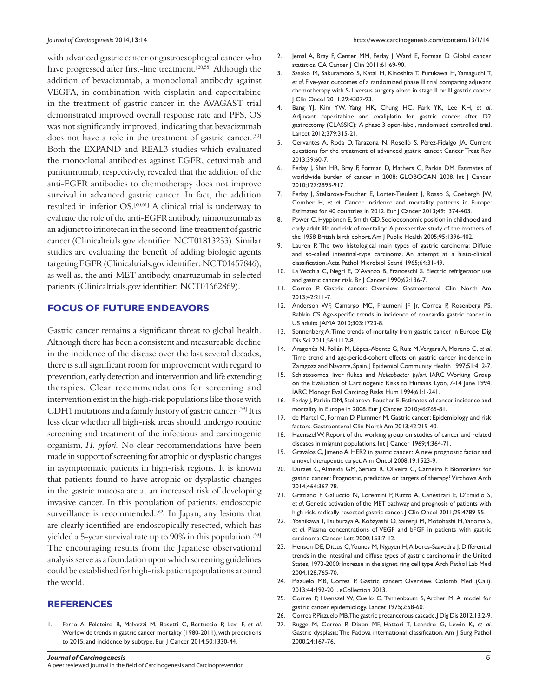with advanced gastric cancer or gastroesophageal cancer who have progressed after first-line treatment.<sup>[20,58]</sup> Although the addition of bevacizumab, a monoclonal antibody against VEGFA, in combination with cisplatin and capecitabine in the treatment of gastric cancer in the AVAGAST trial demonstrated improved overall response rate and PFS, OS was not significantly improved, indicating that bevacizumab does not have a role in the treatment of gastric cancer.[59] Both the EXPAND and REAL3 studies which evaluated the monoclonal antibodies against EGFR, cetuximab and panitumumab, respectively, revealed that the addition of the anti‑EGFR antibodies to chemotherapy does not improve survival in advanced gastric cancer. In fact, the addition resulted in inferior OS.[60,61] A clinical trial is underway to evaluate the role of the anti-EGFR antibody, nimotuzumab as an adjunct to irinotecan in the second-line treatment of gastric cancer(Clinicaltrials.gov identifier: NCT01813253). Similar studies are evaluating the benefit of adding biologic agents targeting FGFR(Clinicaltrials.gov identifier: NCT01457846), as well as, the anti-MET antibody, onartuzumab in selected patients (Clinicaltrials.gov identifier: NCT01662869).

#### **FOCUS OF FUTURE ENDEAVORS**

Gastric cancer remains a significant threat to global health. Although there has been a consistent and measureable decline in the incidence of the disease over the last several decades, there is still significant room for improvement with regard to prevention, early detection and intervention and life extending therapies. Clear recommendations for screening and intervention exist in the high-risk populations like those with CDH1 mutations and a family history of gastric cancer.[39] It is less clear whether all high-risk areas should undergo routine screening and treatment of the infectious and carcinogenic organism, *H. pylori.* No clear recommendations have been made in support of screening for atrophic or dysplastic changes in asymptomatic patients in high-risk regions. It is known that patients found to have atrophic or dysplastic changes in the gastric mucosa are at an increased risk of developing invasive cancer. In this population of patients, endoscopic surveillance is recommended.<sup>[62]</sup> In Japan, any lesions that are clearly identified are endoscopically resected, which has yielded a 5-year survival rate up to 90% in this population.<sup>[63]</sup> The encouraging results from the Japanese observational analysis serve as a foundation upon which screening guidelines could be established for high-risk patient populations around the world.

#### **REFERENCES**

1. Ferro A, Peleteiro B, Malvezzi M, Bosetti C, Bertuccio P, Levi F, *et al*. Worldwide trends in gastric cancer mortality (1980-2011), with predictions to 2015, and incidence by subtype. Eur J Cancer 2014;50:1330-44.

- 2. Jemal A, Bray F, Center MM, Ferlay J, Ward E, Forman D. Global cancer statistics. CA Cancer J Clin 2011;61:69-90.
- 3. Sasako M, Sakuramoto S, Katai H, Kinoshita T, Furukawa H, Yamaguchi T, *et al*. Five-year outcomes of a randomized phase III trial comparing adjuvant chemotherapy with S-1 versus surgery alone in stage II or III gastric cancer. J Clin Oncol 2011;29:4387-93.
- 4. Bang YJ, Kim YW, Yang HK, Chung HC, Park YK, Lee KH, *et al*. Adjuvant capecitabine and oxaliplatin for gastric cancer after D2 gastrectomy (CLASSIC): A phase 3 open-label, randomised controlled trial. Lancet 2012;379:315-21.
- 5. Cervantes A, Roda D, Tarazona N, Roselló S, Pérez-Fidalgo JA. Current questions for the treatment of advanced gastric cancer. Cancer Treat Rev 2013;39:60-7.
- 6. Ferlay J, Shin HR, Bray F, Forman D, Mathers C, Parkin DM. Estimates of worldwide burden of cancer in 2008: GLOBOCAN 2008. Int J Cancer 2010;127:2893-917.
- 7. Ferlay J, Steliarova-Foucher E, Lortet-Tieulent J, Rosso S, Coebergh JW, Comber H, *et al*. Cancer incidence and mortality patterns in Europe: Estimates for 40 countries in 2012. Eur J Cancer 2013;49:1374-403.
- 8. Power C, Hyppönen E, Smith GD. Socioeconomic position in childhood and early adult life and risk of mortality: A prospective study of the mothers of the 1958 British birth cohort. Am J Public Health 2005;95:1396-402.
- 9. Lauren P. The two histological main types of gastric carcinoma: Diffuse and so-called intestinal-type carcinoma. An attempt at a histo-clinical classification. Acta Pathol Microbiol Scand 1965;64:31-49.
- 10. La Vecchia C, Negri E, D'Avanzo B, Franceschi S. Electric refrigerator use and gastric cancer risk. Br J Cancer 1990;62:136-7.
- 11. Correa P. Gastric cancer: Overview. Gastroenterol Clin North Am 2013;42:211-7.
- 12. Anderson WF, Camargo MC, Fraumeni JF Jr, Correa P, Rosenberg PS, Rabkin CS. Age‑specific trends in incidence of noncardia gastric cancer in US adults. JAMA 2010;303:1723-8.
- 13. Sonnenberg A. Time trends of mortality from gastric cancer in Europe. Dig Dis Sci 2011;56:1112-8.
- 14. Aragonés N, Pollán M, López-Abente G, Ruiz M, Vergara A, Moreno C, *et al*. Time trend and age-period-cohort effects on gastric cancer incidence in Zaragoza and Navarre, Spain. J Epidemiol Community Health 1997;51:412-7.
- 15. Schistosomes, liver flukes and *Helicobacter pylori*. IARC Working Group on the Evaluation of Carcinogenic Risks to Humans. Lyon, 7-14 June 1994. IARC Monogr Eval Carcinog Risks Hum 1994;61:1-241.
- 16. Ferlay J, Parkin DM, Steliarova-Foucher E. Estimates of cancer incidence and mortality in Europe in 2008. Eur J Cancer 2010;46:765-81.
- 17. de Martel C, Forman D, Plummer M. Gastric cancer: Epidemiology and risk factors. Gastroenterol Clin North Am 2013;42:219-40.
- 18. HaenszelW. Report of the working group on studies of cancer and related diseases in migrant populations. Int J Cancer 1969;4:364-71.
- 19. Gravalos C, Jimeno A. HER2 in gastric cancer: A new prognostic factor and a novel therapeutic target. Ann Oncol 2008;19:1523-9.
- 20. Durães C, Almeida GM, Seruca R, Oliveira C, Carneiro F. Biomarkers for gastric cancer: Prognostic, predictive or targets of therapy? Virchows Arch 2014;464:367-78.
- 21. Graziano F, Galluccio N, Lorenzini P, Ruzzo A, Canestrari E, D'Emidio S, *et al*. Genetic activation of the MET pathway and prognosis of patients with high-risk, radically resected gastric cancer. J Clin Oncol 2011;29:4789-95.
- 22. Yoshikawa T, Tsuburaya A, Kobayashi O, Sairenji M, Motohashi H, Yanoma S, *et al*. Plasma concentrations of VEGF and bFGF in patients with gastric carcinoma. Cancer Lett 2000;153:7-12.
- 23. Henson DE, Dittus C, Younes M, Nguyen H, Albores-Saavedra J. Differential trends in the intestinal and diffuse types of gastric carcinoma in the United States, 1973-2000: Increase in the signet ring cell type. Arch Pathol Lab Med 2004;128:765-70.
- 24. Piazuelo MB, Correa P. Gastric cáncer: Overview. Colomb Med (Cali). 2013;44:192-201. eCollection 2013.
- 25. Correa P, Haenszel W, Cuello C, Tannenbaum S, Archer M. A model for gastric cancer epidemiology. Lancet 1975;2:58-60.
- 26. Correa P, Piazuelo MB. The gastric precancerous cascade. J Dig Dis 2012;13:2-9.
- 27. Rugge M, Correa P, Dixon MF, Hattori T, Leandro G, Lewin K, *et al*. Gastric dysplasia: The Padova international classification. Am J Surg Pathol 2000;24:167-76.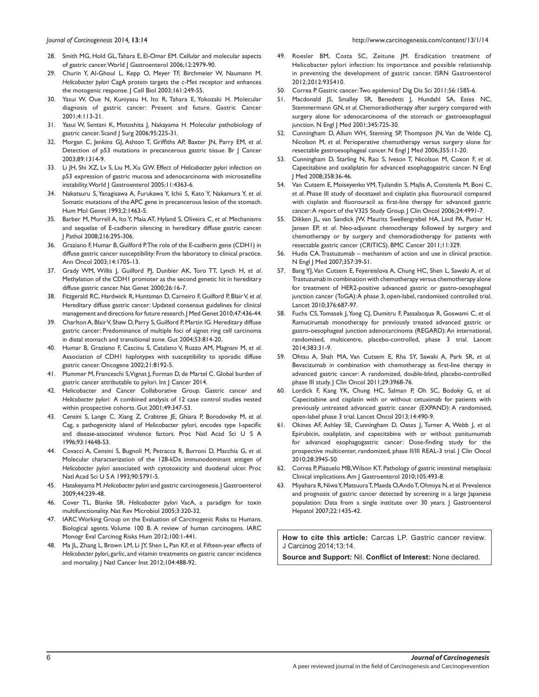- 28. Smith MG, Hold GL, Tahara E, El-Omar EM. Cellular and molecular aspects of gastric cancer. World J Gastroenterol 2006;12:2979-90.
- 29. Churin Y, Al-Ghoul L, Kepp O, Meyer TF, Birchmeier W, Naumann M. *Helicobacter pylori* CagA protein targets the c-Met receptor and enhances the motogenic response. J Cell Biol 2003;161:249-55.
- 30. Yasui W, Oue N, Kuniyasu H, Ito R, Tahara E, Yokozaki H. Molecular diagnosis of gastric cancer: Present and future. Gastric Cancer 2001;4:113-21.
- 31. Yasui W, Sentani K, Motoshita J, Nakayama H. Molecular pathobiology of gastric cancer. Scand J Surg 2006;95:225-31.
- 32. Morgan C, Jenkins GJ, Ashton T, Griffiths AP, Baxter JN, Parry EM, *et al*. Detection of p53 mutations in precancerous gastric tissue. Br J Cancer 2003;89:1314-9.
- 33. Li JH, Shi XZ, Lv S, Liu M, Xu GW. Effect of *Helicobacter pylori* infection on p53 expression of gastric mucosa and adenocarcinoma with microsatellite instability. World J Gastroenterol 2005;11:4363-6.
- 34. Nakatsuru S, Yanagisawa A, Furukawa Y, Ichii S, Kato Y, Nakamura Y, *et al*. Somatic mutations of the APC gene in precancerous lesion of the stomach. Hum Mol Genet 1993;2:1463-5.
- 35. Barber M, Murrell A, Ito Y, Maia AT, Hyland S, Oliveira C, *et al*. Mechanisms and sequelae of E-cadherin silencing in hereditary diffuse gastric cancer. J Pathol 2008;216:295-306.
- 36. Graziano F, Humar B, Guilford P. The role of the E-cadherin gene (CDHI) in diffuse gastric cancer susceptibility: From the laboratory to clinical practice. Ann Oncol 2003;14:1705-13.
- 37. Grady WM, Willis J, Guilford PJ, Dunbier AK, Toro TT, Lynch H, *et al*. Methylation of the CDH1 promoter as the second genetic hit in hereditary diffuse gastric cancer. Nat Genet 2000;26:16-7.
- 38. Fitzgerald RC, Hardwick R, Huntsman D, Carneiro F, Guilford P, BlairV, *et al*. Hereditary diffuse gastric cancer: Updated consensus guidelines for clinical management and directions for future research. J Med Genet 2010;47:436-44.
- 39. Charlton A, Blair V, Shaw D, Parry S, Guilford P, Martin IG. Hereditary diffuse gastric cancer: Predominance of multiple foci of signet ring cell carcinoma in distal stomach and transitional zone. Gut 2004;53:814-20.
- 40. Humar B, Graziano F, Cascinu S, Catalano V, Ruzzo AM, Magnani M, *et al*. Association of CDH1 haplotypes with susceptibility to sporadic diffuse gastric cancer. Oncogene 2002;21:8192-5.
- 41. Plummer M, Franceschi S, Vignat J, Forman D, de Martel C. Global burden of gastric cancer attributable to pylori. Int J Cancer 2014.
- 42. Helicobacter and Cancer Collaborative Group. Gastric cancer and *Helicobacter pylori*: A combined analysis of 12 case control studies nested within prospective cohorts. Gut 2001;49:347-53.
- 43. Censini S, Lange C, Xiang Z, Crabtree JE, Ghiara P, Borodovsky M, *et al*. Cag, a pathogenicity island of Helicobacter pylori, encodes type I-specific and disease-associated virulence factors. Proc Natl Acad Sci U S A 1996;93:14648-53.
- 44. Covacci A, Censini S, Bugnoli M, Petracca R, Burroni D, Macchia G, *et al*. Molecular characterization of the 128-kDa immunodominant antigen of *Helicobacter pylori* associated with cytotoxicity and duodenal ulcer. Proc Natl Acad Sci U S A 1993;90:5791-5.
- 45. Hatakeyama M.*Helicobacter pylori* and gastric carcinogenesis. J Gastroenterol 2009;44:239-48.
- 46. Cover TL, Blanke SR. *Helicobacter pylori* VacA, a paradigm for toxin multifunctionality. Nat Rev Microbiol 2005;3:320-32.
- 47. IARC Working Group on the Evaluation of Carcinogenic Risks to Humans. Biological agents. Volume 100 B. A review of human carcinogens. IARC Monogr Eval Carcinog Risks Hum 2012;100:1-441.
- 48. Ma JL, Zhang L, Brown LM, Li JY, Shen L, Pan KF, *et al*. Fifteen-year effects of *Helicobacter pylori*, garlic, and vitamin treatments on gastric cancer incidence and mortality. J Natl Cancer Inst 2012;104:488-92.
- 49. Roesler BM, Costa SC, Zeitune JM. Eradication treatment of Helicobacter pylori infection: Its importance and possible relationship in preventing the development of gastric cancer. ISRN Gastroenterol 2012;2012:935410.
- 50. Correa P. Gastric cancer: Two epidemics? Dig Dis Sci 2011;56:1585-6.
- 51. Macdonald JS, Smalley SR, Benedetti J, Hundahl SA, Estes NC, Stemmermann GN, *et al*. Chemoradiotherapy after surgery compared with surgery alone for adenocarcinoma of the stomach or gastroesophageal junction. N Engl J Med 2001;345:725-30.
- 52. Cunningham D, Allum WH, Stenning SP, Thompson JN, Van de Velde CJ, Nicolson M, *et al*. Perioperative chemotherapy versus surgery alone for resectable gastroesophageal cancer. N Engl J Med 2006;355:11-20.
- 53. Cunningham D, Starling N, Rao S, Iveson T, Nicolson M, Coxon F, *et al*. Capecitabine and oxaliplatin for advanced esophagogastric cancer. N Engl J Med 2008;358:36-46.
- 54. Van Cutsem E, Moiseyenko VM, Tjulandin S, Majlis A, Constenla M, Boni C, *et al*. Phase III study of docetaxel and cisplatin plus fluorouracil compared with cisplatin and fluorouracil as first-line therapy for advanced gastric cancer: A report of the V325 Study Group. J Clin Oncol 2006;24:4991-7.
- 55. Dikken JL, van Sandick JW, Maurits Swellengrebel HA, Lind PA, Putter H, Jansen EP, *et al*. Neo-adjuvant chemotherapy followed by surgery and chemotherapy or by surgery and chemoradiotherapy for patients with resectable gastric cancer (CRITICS). BMC Cancer 2011;11:329.
- 56. Hudis CA. Trastuzumab mechanism of action and use in clinical practice. N Engl J Med 2007;357:39-51.
- 57. Bang YJ, Van Cutsem E, Feyereislova A, Chung HC, Shen L, Sawaki A, *et al.* Trastuzumab in combination with chemotherapy versus chemotherapy alone for treatment of HER2-positive advanced gastric or gastro-oesophageal junction cancer (ToGA): A phase 3, open-label, randomised controlled trial. Lancet 2010;376:687-97.
- 58. Fuchs CS, Tomasek J, Yong CJ, Dumitru F, Passalacqua R, Goswami C, *et al.* Ramucirumab monotherapy for previously treated advanced gastric or gastro-oesophageal junction adenocarcinoma (REGARD): An international, randomised, multicentre, placebo-controlled, phase 3 trial. Lancet 2014;383:31-9.
- 59. Ohtsu A, Shah MA, Van Cutsem E, Rha SY, Sawaki A, Park SR, *et al.* Bevacizumab in combination with chemotherapy as first-line therapy in advanced gastric cancer: A randomized, double-blind, placebo-controlled phase III study. J Clin Oncol 2011;29:3968-76.
- 60. Lordick F, Kang YK, Chung HC, Salman P, Oh SC, Bodoky G, *et al.* Capecitabine and cisplatin with or without cetuximab for patients with previously untreated advanced gastric cancer (EXPAND): A randomised, open-label phase 3 trial. Lancet Oncol 2013;14:490-9.
- 61. Okines AF, Ashley SE, Cunningham D, Oates J, Turner A, Webb J, *et al.* Epirubicin, oxaliplatin, and capecitabine with or without panitumumab for advanced esophagogastric cancer: Dose‑finding study for the prospective multicenter, randomized, phase II/III REAL-3 trial. J Clin Oncol 2010;28:3945-50.
- 62. Correa P, Piazuelo MB, Wilson KT. Pathology of gastric intestinal metaplasia: Clinical implications. Am J Gastroenterol 2010;105:493-8.
- 63. Miyahara R, NiwaY, MatsuuraT, Maeda O, AndoT, Ohmiya N, *et al.* Prevalence and prognosis of gastric cancer detected by screening in a large Japanese population: Data from a single institute over 30 years. J Gastroenterol Hepatol 2007;22:1435-42.

**How to cite this article:** Carcas LP. Gastric cancer review. J Carcinog 2014;13:14.

**Source and Support:** Nil. **Conflict of Interest:** None declared.